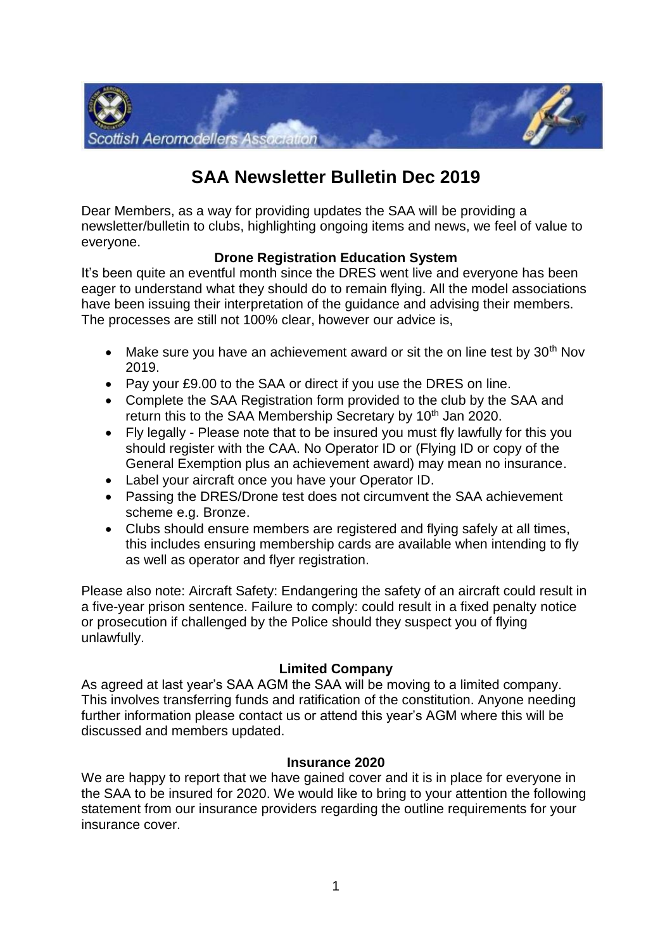

# **SAA Newsletter Bulletin Dec 2019**

Dear Members, as a way for providing updates the SAA will be providing a newsletter/bulletin to clubs, highlighting ongoing items and news, we feel of value to everyone.

# **Drone Registration Education System**

It's been quite an eventful month since the DRES went live and everyone has been eager to understand what they should do to remain flying. All the model associations have been issuing their interpretation of the guidance and advising their members. The processes are still not 100% clear, however our advice is,

- Make sure you have an achievement award or sit the on line test by  $30<sup>th</sup>$  Nov 2019.
- Pay your £9.00 to the SAA or direct if you use the DRES on line.
- Complete the SAA Registration form provided to the club by the SAA and return this to the SAA Membership Secretary by 10<sup>th</sup> Jan 2020.
- Fly legally Please note that to be insured you must fly lawfully for this you should register with the CAA. No Operator ID or (Flying ID or copy of the General Exemption plus an achievement award) may mean no insurance.
- Label your aircraft once you have your Operator ID.
- Passing the DRES/Drone test does not circumvent the SAA achievement scheme e.g. Bronze.
- Clubs should ensure members are registered and flying safely at all times, this includes ensuring membership cards are available when intending to fly as well as operator and flyer registration.

Please also note: Aircraft Safety: Endangering the safety of an aircraft could result in a five-year prison sentence. Failure to comply: could result in a fixed penalty notice or prosecution if challenged by the Police should they suspect you of flying unlawfully.

### **Limited Company**

As agreed at last year's SAA AGM the SAA will be moving to a limited company. This involves transferring funds and ratification of the constitution. Anyone needing further information please contact us or attend this year's AGM where this will be discussed and members updated.

#### **Insurance 2020**

We are happy to report that we have gained cover and it is in place for everyone in the SAA to be insured for 2020. We would like to bring to your attention the following statement from our insurance providers regarding the outline requirements for your insurance cover.